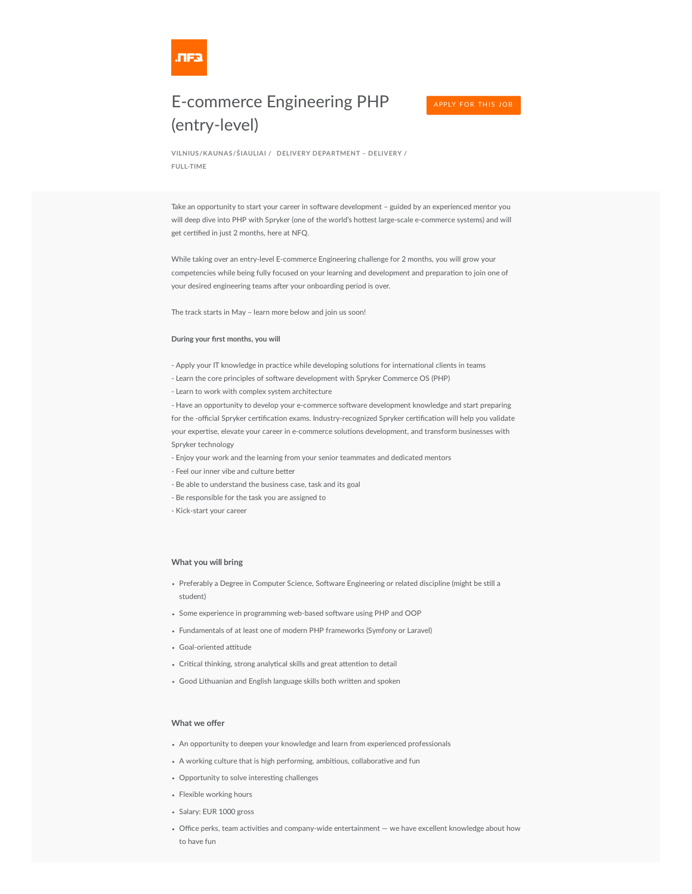

## E-commerce Engineering PHP (entry-level)

**VILNIUS/KAUNAS/ŠIAULIAI / DELIVERY DEPARTMENT – DELIVERY / FULL-TIME**

Take an opportunity to start your career in software development – guided by an experienced mentor you will deep dive into PHP with Spryker (one of the world's hottest large-scale e-commerce systems) and will get certified in just 2 months, here at NFQ.

While taking over an entry-level E-commerce Engineering challenge for 2 months, you will grow your competencies while being fully focused on your learning and development and preparation to join one of your desired engineering teams after your onboarding period is over.

The track starts in May – learn more below and join us soon!

## **During your first months, you will**

- Apply your IT knowledge in practice while developing solutions for international clients in teams
- Learn the core principles of software development with Spryker Commerce OS (PHP)
- Learn to work with complex system architecture

- Have an opportunity to develop your e-commerce software development knowledge and start preparing for the -official Spryker certification exams. Industry-recognized Spryker certification will help you validate your expertise, elevate your career in e-commerce solutions development, and transform businesses with Spryker technology

- Enjoy your work and the learning from your senior teammates and dedicated mentors
- Feel our inner vibe and culture better
- Be able to understand the business case, task and its goal
- Be responsible for the task you are assigned to
- Kick-start your career

## **What you will bring**

- Preferably a Degree in Computer Science, Software Engineering or related discipline (might be still a student)
- Some experience in programming web-based software using PHP and OOP
- Fundamentals of at least one of modern PHP frameworks (Symfony or Laravel)
- Goal-oriented attitude
- Critical thinking, strong analytical skills and great attention to detail
- Good Lithuanian and English language skills both written and spoken

## **What we offer**

- An opportunity to deepen your knowledge and learn from experienced professionals
- A working culture that is high performing, ambitious, collaborative and fun
- Opportunity to solve interesting challenges
- Flexible working hours
- Salary: EUR 1000 gross
- Office perks, team activities and company-wide entertainment we have excellent knowledge about how to have fun